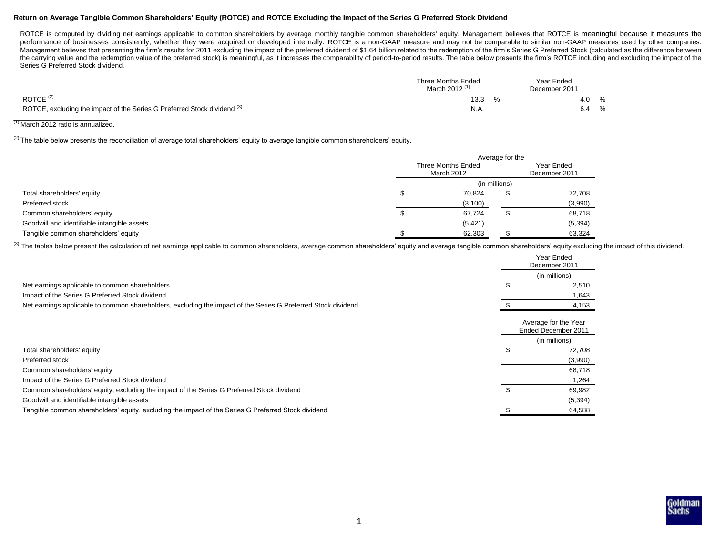## **Return on Average Tangible Common Shareholders' Equity (ROTCE) and ROTCE Excluding the Impact of the Series G Preferred Stock Dividend**

ROTCE is computed by dividing net earnings applicable to common shareholders by average monthly tangible common shareholders' equity. Management believes that ROTCE is meaningful because it measures the performance of businesses consistently, whether they were acquired or developed internally. ROTCE is a non-GAAP measure and may not be comparable to similar non-GAAP measures used by other companies. Management believes that presenting the firm's results for 2011 excluding the impact of the preferred dividend of \$1.64 billion related to the redemption of the firm's Series G Preferred Stock (calculated as the difference the carrying value and the redemption value of the preferred stock) is meaningful, as it increases the comparability of period-to-period results. The table below presents the firm's ROTCE including and excluding the impact Series G Preferred Stock dividend.

|                                                                          | Three Months Ended<br>March 2012 <sup>(1)</sup> | Year Ended<br>December 2011 |   |
|--------------------------------------------------------------------------|-------------------------------------------------|-----------------------------|---|
| ROTCE $(2)$                                                              | 13.3                                            | 4.0                         | % |
| ROTCE, excluding the impact of the Series G Preferred Stock dividend (3) | N.A.                                            | 6.4                         | % |

# $\frac{1}{10}$  March 2012 ratio is annualized.

<sup>(2)</sup> The table below presents the reconciliation of average total shareholders' equity to average tangible common shareholders' equity.

|                                             | Average for the                         |  |                             |  |
|---------------------------------------------|-----------------------------------------|--|-----------------------------|--|
|                                             | <b>Three Months Ended</b><br>March 2012 |  | Year Ended<br>December 2011 |  |
|                                             | (in millions)                           |  |                             |  |
| Total shareholders' equity                  | 70.824                                  |  | 72,708                      |  |
| Preferred stock                             | (3, 100)                                |  | (3,990)                     |  |
| Common shareholders' equity                 | 67.724                                  |  | 68,718                      |  |
| Goodwill and identifiable intangible assets | (5, 421)                                |  | (5, 394)                    |  |
| Tangible common shareholders' equity        | 62,303                                  |  | 63,324                      |  |

(3) The tables below present the calculation of net earnings applicable to common shareholders, average common shareholders' equity and average tangible common shareholders' equity excluding the impact of this dividend.

|                                                                                                               | Year Ended<br>December 2011                 |
|---------------------------------------------------------------------------------------------------------------|---------------------------------------------|
|                                                                                                               | (in millions)                               |
| Net earnings applicable to common shareholders                                                                | 2,510                                       |
| Impact of the Series G Preferred Stock dividend                                                               | 1,643                                       |
| Net earnings applicable to common shareholders, excluding the impact of the Series G Preferred Stock dividend | 4,153                                       |
|                                                                                                               | Average for the Year<br>Ended December 2011 |
|                                                                                                               | (in millions)                               |
| Total shareholders' equity                                                                                    | 72,708                                      |
| Preferred stock                                                                                               | (3,990)                                     |
| Common shareholders' equity                                                                                   | 68,718                                      |
| Impact of the Series G Preferred Stock dividend                                                               | 1,264                                       |
| Common shareholders' equity, excluding the impact of the Series G Preferred Stock dividend                    | 69,982                                      |
| Goodwill and identifiable intangible assets                                                                   | (5, 394)                                    |
| Tangible common shareholders' equity, excluding the impact of the Series G Preferred Stock dividend           | 64,588                                      |

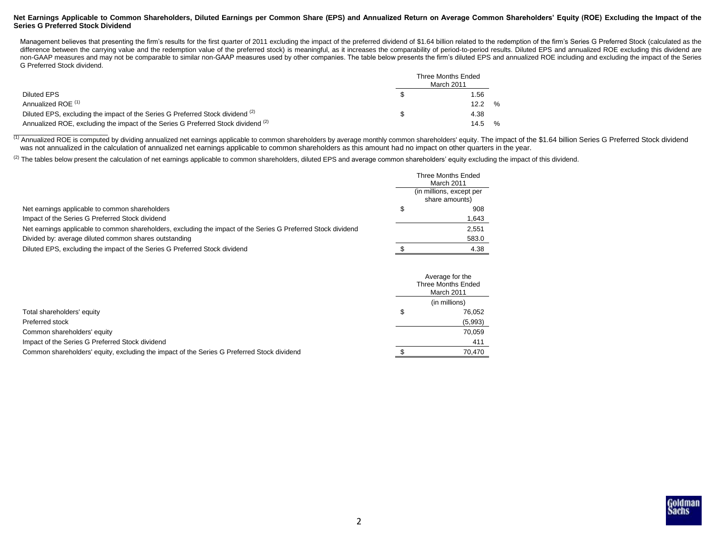### **Net Earnings Applicable to Common Shareholders, Diluted Earnings per Common Share (EPS) and Annualized Return on Average Common Shareholders' Equity (ROE) Excluding the Impact of the Series G Preferred Stock Dividend**

Management believes that presenting the firm's results for the first quarter of 2011 excluding the impact of the preferred dividend of \$1.64 billion related to the redemption of the firm's Series G Preferred Stock (calcula difference between the carrying value and the redemption value of the preferred stock) is meaningful, as it increases the comparability of period-to-period results. Diluted EPS and annualized ROE excluding this dividend ar non-GAAP measures and may not be comparable to similar non-GAAP measures used by other companies. The table below presents the firm's diluted EPS and annualized ROE including and excluding the impact of the Series G Preferred Stock dividend.

|                                                                                              | Three Months Ended<br>March 2011 |
|----------------------------------------------------------------------------------------------|----------------------------------|
| Diluted EPS                                                                                  | .56                              |
| Annualized ROE <sup>(1)</sup>                                                                | $\%$<br>12.2                     |
| Diluted EPS, excluding the impact of the Series G Preferred Stock dividend <sup>(2)</sup>    | 4.38                             |
| Annualized ROE, excluding the impact of the Series G Preferred Stock dividend <sup>(2)</sup> | %<br>14.5                        |

(1) Annualized ROE is computed by dividing annualized net earnings applicable to common shareholders by average monthly common shareholders' equity. The impact of the \$1.64 billion Series G Preferred Stock dividend was not annualized in the calculation of annualized net earnings applicable to common shareholders as this amount had no impact on other quarters in the year.

 $^{(2)}$  The tables below present the calculation of net earnings applicable to common shareholders, diluted EPS and average common shareholders' equity excluding the impact of this dividend.

|                                                                                                               | Three Months Ended<br>March 2011           |
|---------------------------------------------------------------------------------------------------------------|--------------------------------------------|
|                                                                                                               | (in millions, except per<br>share amounts) |
| Net earnings applicable to common shareholders                                                                | 908                                        |
| Impact of the Series G Preferred Stock dividend                                                               | 1,643                                      |
| Net earnings applicable to common shareholders, excluding the impact of the Series G Preferred Stock dividend | 2.551                                      |
| Divided by: average diluted common shares outstanding                                                         | 583.0                                      |
| Diluted EPS, excluding the impact of the Series G Preferred Stock dividend                                    | 4.38                                       |

|                                                                                            | Average for the<br>Three Months Ended<br>March 2011 |               |
|--------------------------------------------------------------------------------------------|-----------------------------------------------------|---------------|
|                                                                                            |                                                     | (in millions) |
| Total shareholders' equity                                                                 |                                                     | 76.052        |
| Preferred stock                                                                            |                                                     | (5,993)       |
| Common shareholders' equity                                                                |                                                     | 70.059        |
| Impact of the Series G Preferred Stock dividend                                            |                                                     | 411           |
| Common shareholders' equity, excluding the impact of the Series G Preferred Stock dividend |                                                     | 70.470        |

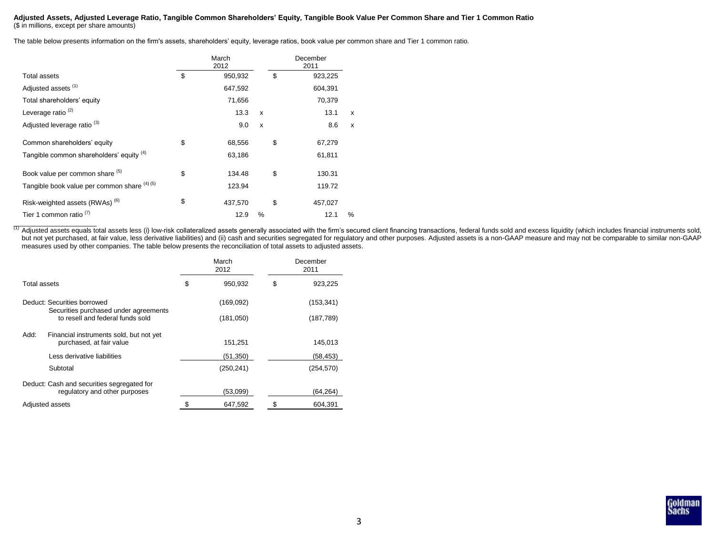#### **Adjusted Assets, Adjusted Leverage Ratio, Tangible Common Shareholders' Equity, Tangible Book Value Per Common Share and Tier 1 Common Ratio** (\$ in millions, except per share amounts)

The table below presents information on the firm's assets, shareholders' equity, leverage ratios, book value per common share and Tier 1 common ratio.

|                                              | March<br>2012 |   | December<br>2011 |   |
|----------------------------------------------|---------------|---|------------------|---|
| <b>Total assets</b>                          | \$<br>950,932 |   | \$<br>923,225    |   |
| Adjusted assets <sup>(1)</sup>               | 647,592       |   | 604,391          |   |
| Total shareholders' equity                   | 71,656        |   | 70,379           |   |
| Leverage ratio <sup>(2)</sup>                | 13.3          | X | 13.1             | X |
| Adjusted leverage ratio <sup>(3)</sup>       | 9.0           | X | 8.6              | X |
| Common shareholders' equity                  | \$<br>68,556  |   | \$<br>67,279     |   |
| Tangible common shareholders' equity (4)     | 63,186        |   | 61,811           |   |
| Book value per common share (5)              | \$<br>134.48  |   | \$<br>130.31     |   |
| Tangible book value per common share (4) (5) | 123.94        |   | 119.72           |   |
| Risk-weighted assets (RWAs) <sup>(6)</sup>   | \$<br>437,570 |   | \$<br>457,027    |   |
| Tier 1 common ratio <sup>(1)</sup>           | 12.9          | % | 12.1             | % |

(1) Adjusted assets equals total assets less (i) low-risk collateralized assets generally associated with the firm's secured client financing transactions, federal funds sold and excess liquidity (which includes financial but not yet purchased, at fair value, less derivative liabilities) and (ii) cash and securities segregated for regulatory and other purposes. Adjusted assets is a non-GAAP measure and may not be comparable to similar non-G measures used by other companies. The table below presents the reconciliation of total assets to adjusted assets.

|                                                                             | March<br>2012 |            | December<br>2011 |
|-----------------------------------------------------------------------------|---------------|------------|------------------|
| Total assets                                                                | \$            | 950,932    | \$<br>923,225    |
| Deduct: Securities borrowed                                                 |               | (169,092)  | (153, 341)       |
| Securities purchased under agreements<br>to resell and federal funds sold   |               | (181,050)  | (187, 789)       |
| Add:<br>Financial instruments sold, but not yet<br>purchased, at fair value |               | 151,251    | 145,013          |
| Less derivative liabilities                                                 |               | (51,350)   | (58,453)         |
| Subtotal                                                                    |               | (250, 241) | (254, 570)       |
| Deduct: Cash and securities segregated for<br>regulatory and other purposes |               | (53,099)   | (64,264)         |
| Adjusted assets                                                             |               | 647,592    | 604,391          |